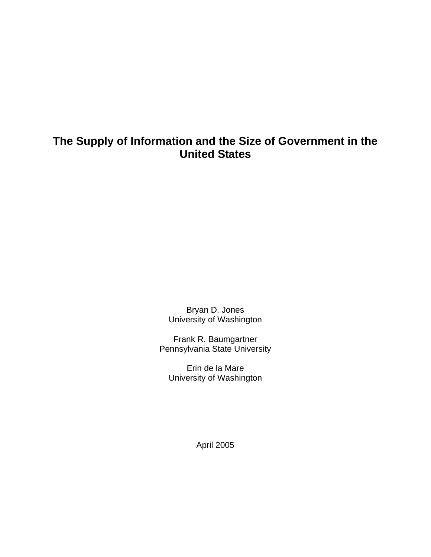# **The Supply of Information and the Size of Government in the United States**

Bryan D. Jones University of Washington

Frank R. Baumgartner Pennsylvania State University

Erin de la Mare University of Washington

April 2005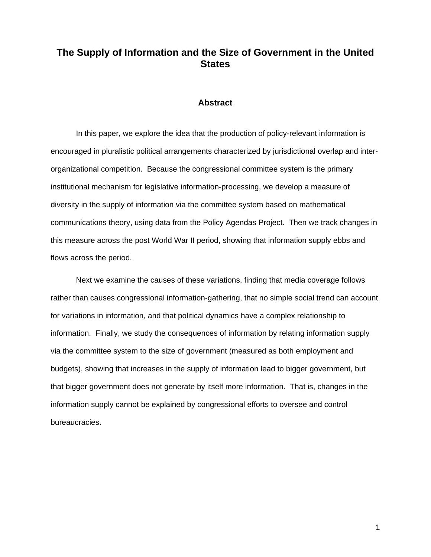## **The Supply of Information and the Size of Government in the United States**

#### **Abstract**

In this paper, we explore the idea that the production of policy-relevant information is encouraged in pluralistic political arrangements characterized by jurisdictional overlap and interorganizational competition. Because the congressional committee system is the primary institutional mechanism for legislative information-processing, we develop a measure of diversity in the supply of information via the committee system based on mathematical communications theory, using data from the Policy Agendas Project. Then we track changes in this measure across the post World War II period, showing that information supply ebbs and flows across the period.

Next we examine the causes of these variations, finding that media coverage follows rather than causes congressional information-gathering, that no simple social trend can account for variations in information, and that political dynamics have a complex relationship to information. Finally, we study the consequences of information by relating information supply via the committee system to the size of government (measured as both employment and budgets), showing that increases in the supply of information lead to bigger government, but that bigger government does not generate by itself more information. That is, changes in the information supply cannot be explained by congressional efforts to oversee and control bureaucracies.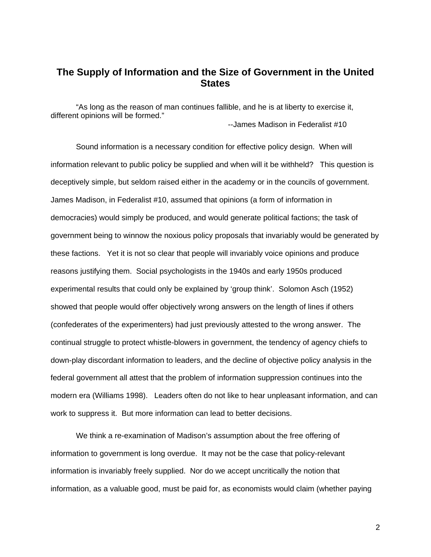## **The Supply of Information and the Size of Government in the United States**

"As long as the reason of man continues fallible, and he is at liberty to exercise it, different opinions will be formed." --James Madison in Federalist #10

 Sound information is a necessary condition for effective policy design. When will information relevant to public policy be supplied and when will it be withheld? This question is deceptively simple, but seldom raised either in the academy or in the councils of government. James Madison, in Federalist #10, assumed that opinions (a form of information in democracies) would simply be produced, and would generate political factions; the task of government being to winnow the noxious policy proposals that invariably would be generated by these factions. Yet it is not so clear that people will invariably voice opinions and produce reasons justifying them. Social psychologists in the 1940s and early 1950s produced experimental results that could only be explained by 'group think'. Solomon Asch (1952) showed that people would offer objectively wrong answers on the length of lines if others (confederates of the experimenters) had just previously attested to the wrong answer. The continual struggle to protect whistle-blowers in government, the tendency of agency chiefs to down-play discordant information to leaders, and the decline of objective policy analysis in the federal government all attest that the problem of information suppression continues into the modern era (Williams 1998). Leaders often do not like to hear unpleasant information, and can work to suppress it. But more information can lead to better decisions.

We think a re-examination of Madison's assumption about the free offering of information to government is long overdue. It may not be the case that policy-relevant information is invariably freely supplied. Nor do we accept uncritically the notion that information, as a valuable good, must be paid for, as economists would claim (whether paying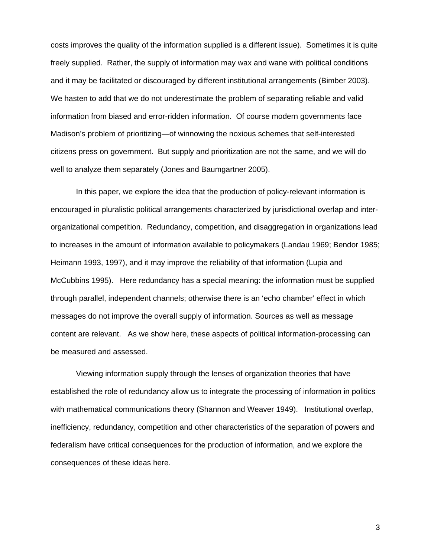costs improves the quality of the information supplied is a different issue). Sometimes it is quite freely supplied. Rather, the supply of information may wax and wane with political conditions and it may be facilitated or discouraged by different institutional arrangements (Bimber 2003). We hasten to add that we do not underestimate the problem of separating reliable and valid information from biased and error-ridden information. Of course modern governments face Madison's problem of prioritizing—of winnowing the noxious schemes that self-interested citizens press on government. But supply and prioritization are not the same, and we will do well to analyze them separately (Jones and Baumgartner 2005).

In this paper, we explore the idea that the production of policy-relevant information is encouraged in pluralistic political arrangements characterized by jurisdictional overlap and interorganizational competition. Redundancy, competition, and disaggregation in organizations lead to increases in the amount of information available to policymakers (Landau 1969; Bendor 1985; Heimann 1993, 1997), and it may improve the reliability of that information (Lupia and McCubbins 1995). Here redundancy has a special meaning: the information must be supplied through parallel, independent channels; otherwise there is an 'echo chamber' effect in which messages do not improve the overall supply of information. Sources as well as message content are relevant. As we show here, these aspects of political information-processing can be measured and assessed.

Viewing information supply through the lenses of organization theories that have established the role of redundancy allow us to integrate the processing of information in politics with mathematical communications theory (Shannon and Weaver 1949). Institutional overlap, inefficiency, redundancy, competition and other characteristics of the separation of powers and federalism have critical consequences for the production of information, and we explore the consequences of these ideas here.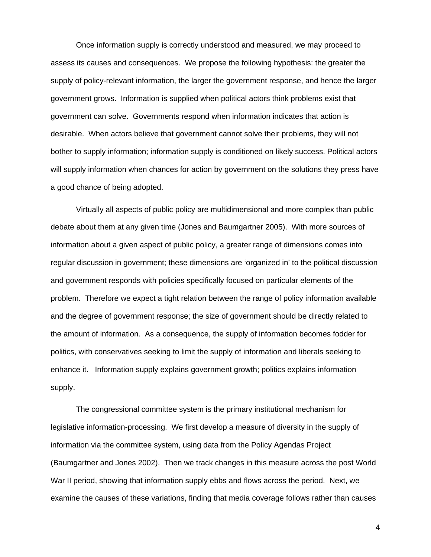Once information supply is correctly understood and measured, we may proceed to assess its causes and consequences. We propose the following hypothesis: the greater the supply of policy-relevant information, the larger the government response, and hence the larger government grows. Information is supplied when political actors think problems exist that government can solve. Governments respond when information indicates that action is desirable. When actors believe that government cannot solve their problems, they will not bother to supply information; information supply is conditioned on likely success. Political actors will supply information when chances for action by government on the solutions they press have a good chance of being adopted.

Virtually all aspects of public policy are multidimensional and more complex than public debate about them at any given time (Jones and Baumgartner 2005). With more sources of information about a given aspect of public policy, a greater range of dimensions comes into regular discussion in government; these dimensions are 'organized in' to the political discussion and government responds with policies specifically focused on particular elements of the problem. Therefore we expect a tight relation between the range of policy information available and the degree of government response; the size of government should be directly related to the amount of information. As a consequence, the supply of information becomes fodder for politics, with conservatives seeking to limit the supply of information and liberals seeking to enhance it. Information supply explains government growth; politics explains information supply.

The congressional committee system is the primary institutional mechanism for legislative information-processing. We first develop a measure of diversity in the supply of information via the committee system, using data from the Policy Agendas Project (Baumgartner and Jones 2002). Then we track changes in this measure across the post World War II period, showing that information supply ebbs and flows across the period. Next, we examine the causes of these variations, finding that media coverage follows rather than causes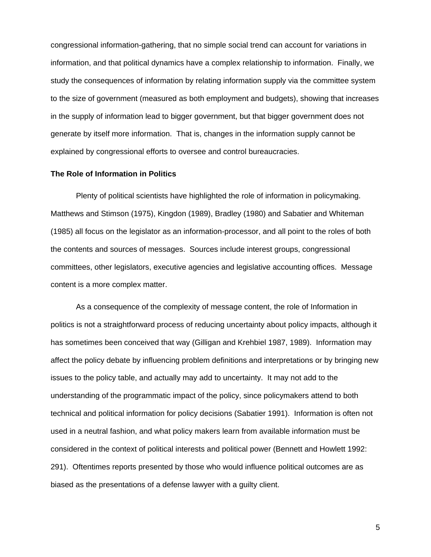congressional information-gathering, that no simple social trend can account for variations in information, and that political dynamics have a complex relationship to information. Finally, we study the consequences of information by relating information supply via the committee system to the size of government (measured as both employment and budgets), showing that increases in the supply of information lead to bigger government, but that bigger government does not generate by itself more information. That is, changes in the information supply cannot be explained by congressional efforts to oversee and control bureaucracies.

## **The Role of Information in Politics**

 Plenty of political scientists have highlighted the role of information in policymaking. Matthews and Stimson (1975), Kingdon (1989), Bradley (1980) and Sabatier and Whiteman (1985) all focus on the legislator as an information-processor, and all point to the roles of both the contents and sources of messages. Sources include interest groups, congressional committees, other legislators, executive agencies and legislative accounting offices. Message content is a more complex matter.

 As a consequence of the complexity of message content, the role of Information in politics is not a straightforward process of reducing uncertainty about policy impacts, although it has sometimes been conceived that way (Gilligan and Krehbiel 1987, 1989). Information may affect the policy debate by influencing problem definitions and interpretations or by bringing new issues to the policy table, and actually may add to uncertainty. It may not add to the understanding of the programmatic impact of the policy, since policymakers attend to both technical and political information for policy decisions (Sabatier 1991). Information is often not used in a neutral fashion, and what policy makers learn from available information must be considered in the context of political interests and political power (Bennett and Howlett 1992: 291). Oftentimes reports presented by those who would influence political outcomes are as biased as the presentations of a defense lawyer with a guilty client.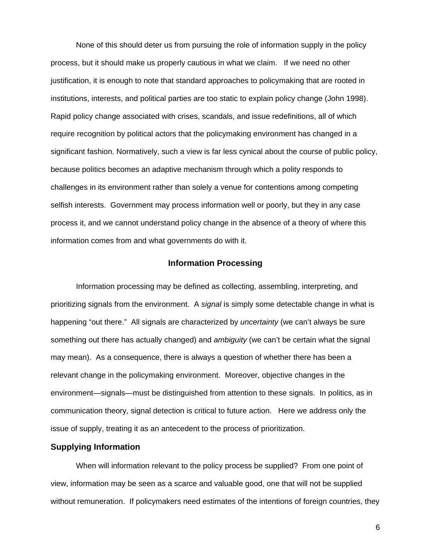None of this should deter us from pursuing the role of information supply in the policy process, but it should make us properly cautious in what we claim. If we need no other justification, it is enough to note that standard approaches to policymaking that are rooted in institutions, interests, and political parties are too static to explain policy change (John 1998). Rapid policy change associated with crises, scandals, and issue redefinitions, all of which require recognition by political actors that the policymaking environment has changed in a significant fashion. Normatively, such a view is far less cynical about the course of public policy, because politics becomes an adaptive mechanism through which a polity responds to challenges in its environment rather than solely a venue for contentions among competing selfish interests. Government may process information well or poorly, but they in any case process it, and we cannot understand policy change in the absence of a theory of where this information comes from and what governments do with it.

## **Information Processing**

Information processing may be defined as collecting, assembling, interpreting, and prioritizing signals from the environment. A *signal* is simply some detectable change in what is happening "out there." All signals are characterized by *uncertainty* (we can't always be sure something out there has actually changed) and *ambiguity* (we can't be certain what the signal may mean). As a consequence, there is always a question of whether there has been a relevant change in the policymaking environment. Moreover, objective changes in the environment—signals—must be distinguished from attention to these signals. In politics, as in communication theory, signal detection is critical to future action. Here we address only the issue of supply, treating it as an antecedent to the process of prioritization.

## **Supplying Information**

When will information relevant to the policy process be supplied? From one point of view, information may be seen as a scarce and valuable good, one that will not be supplied without remuneration. If policymakers need estimates of the intentions of foreign countries, they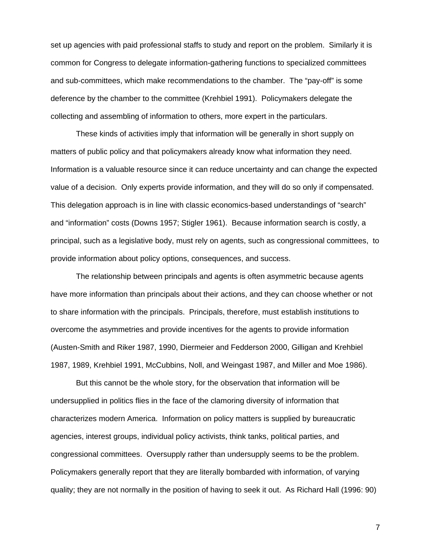set up agencies with paid professional staffs to study and report on the problem. Similarly it is common for Congress to delegate information-gathering functions to specialized committees and sub-committees, which make recommendations to the chamber. The "pay-off" is some deference by the chamber to the committee (Krehbiel 1991). Policymakers delegate the collecting and assembling of information to others, more expert in the particulars.

These kinds of activities imply that information will be generally in short supply on matters of public policy and that policymakers already know what information they need. Information is a valuable resource since it can reduce uncertainty and can change the expected value of a decision. Only experts provide information, and they will do so only if compensated. This delegation approach is in line with classic economics-based understandings of "search" and "information" costs (Downs 1957; Stigler 1961). Because information search is costly, a principal, such as a legislative body, must rely on agents, such as congressional committees, to provide information about policy options, consequences, and success.

The relationship between principals and agents is often asymmetric because agents have more information than principals about their actions, and they can choose whether or not to share information with the principals. Principals, therefore, must establish institutions to overcome the asymmetries and provide incentives for the agents to provide information (Austen-Smith and Riker 1987, 1990, Diermeier and Fedderson 2000, Gilligan and Krehbiel 1987, 1989, Krehbiel 1991, McCubbins, Noll, and Weingast 1987, and Miller and Moe 1986).

But this cannot be the whole story, for the observation that information will be undersupplied in politics flies in the face of the clamoring diversity of information that characterizes modern America. Information on policy matters is supplied by bureaucratic agencies, interest groups, individual policy activists, think tanks, political parties, and congressional committees. Oversupply rather than undersupply seems to be the problem. Policymakers generally report that they are literally bombarded with information, of varying quality; they are not normally in the position of having to seek it out. As Richard Hall (1996: 90)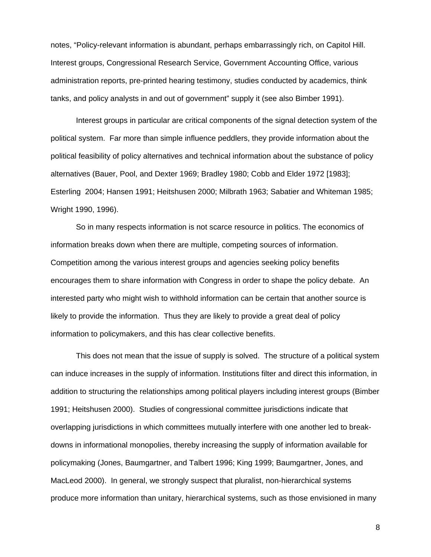notes, "Policy-relevant information is abundant, perhaps embarrassingly rich, on Capitol Hill. Interest groups, Congressional Research Service, Government Accounting Office, various administration reports, pre-printed hearing testimony, studies conducted by academics, think tanks, and policy analysts in and out of government" supply it (see also Bimber 1991).

Interest groups in particular are critical components of the signal detection system of the political system. Far more than simple influence peddlers, they provide information about the political feasibility of policy alternatives and technical information about the substance of policy alternatives (Bauer, Pool, and Dexter 1969; Bradley 1980; Cobb and Elder 1972 [1983]; Esterling 2004; Hansen 1991; Heitshusen 2000; Milbrath 1963; Sabatier and Whiteman 1985; Wright 1990, 1996).

 So in many respects information is not scarce resource in politics. The economics of information breaks down when there are multiple, competing sources of information. Competition among the various interest groups and agencies seeking policy benefits encourages them to share information with Congress in order to shape the policy debate. An interested party who might wish to withhold information can be certain that another source is likely to provide the information. Thus they are likely to provide a great deal of policy information to policymakers, and this has clear collective benefits.

This does not mean that the issue of supply is solved. The structure of a political system can induce increases in the supply of information. Institutions filter and direct this information, in addition to structuring the relationships among political players including interest groups (Bimber 1991; Heitshusen 2000). Studies of congressional committee jurisdictions indicate that overlapping jurisdictions in which committees mutually interfere with one another led to breakdowns in informational monopolies, thereby increasing the supply of information available for policymaking (Jones, Baumgartner, and Talbert 1996; King 1999; Baumgartner, Jones, and MacLeod 2000). In general, we strongly suspect that pluralist, non-hierarchical systems produce more information than unitary, hierarchical systems, such as those envisioned in many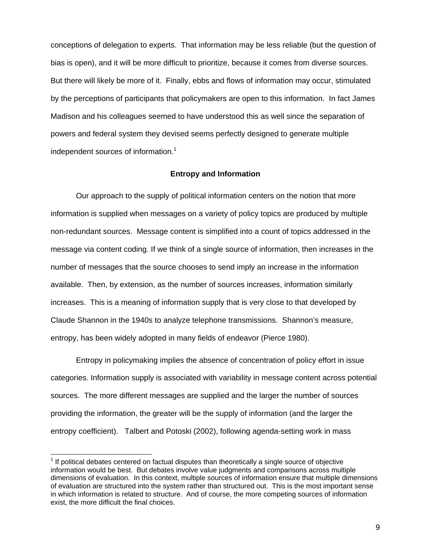conceptions of delegation to experts. That information may be less reliable (but the question of bias is open), and it will be more difficult to prioritize, because it comes from diverse sources. But there will likely be more of it. Finally, ebbs and flows of information may occur, stimulated by the perceptions of participants that policymakers are open to this information. In fact James Madison and his colleagues seemed to have understood this as well since the separation of powers and federal system they devised seems perfectly designed to generate multiple independent sources of information.<sup>1</sup>

## **Entropy and Information**

Our approach to the supply of political information centers on the notion that more information is supplied when messages on a variety of policy topics are produced by multiple non-redundant sources. Message content is simplified into a count of topics addressed in the message via content coding. If we think of a single source of information, then increases in the number of messages that the source chooses to send imply an increase in the information available. Then, by extension, as the number of sources increases, information similarly increases. This is a meaning of information supply that is very close to that developed by Claude Shannon in the 1940s to analyze telephone transmissions. Shannon's measure, entropy, has been widely adopted in many fields of endeavor (Pierce 1980).

Entropy in policymaking implies the absence of concentration of policy effort in issue categories. Information supply is associated with variability in message content across potential sources. The more different messages are supplied and the larger the number of sources providing the information, the greater will be the supply of information (and the larger the entropy coefficient). Talbert and Potoski (2002), following agenda-setting work in mass

 $\overline{a}$ 

 $1$  If political debates centered on factual disputes than theoretically a single source of objective information would be best. But debates involve value judgments and comparisons across multiple dimensions of evaluation. In this context, multiple sources of information ensure that multiple dimensions of evaluation are structured into the system rather than structured out. This is the most important sense in which information is related to structure. And of course, the more competing sources of information exist, the more difficult the final choices.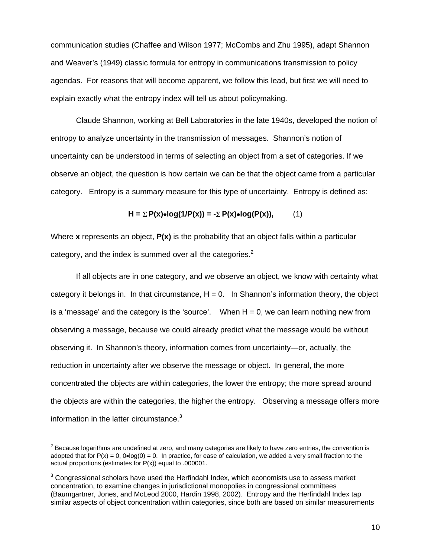communication studies (Chaffee and Wilson 1977; McCombs and Zhu 1995), adapt Shannon and Weaver's (1949) classic formula for entropy in communications transmission to policy agendas. For reasons that will become apparent, we follow this lead, but first we will need to explain exactly what the entropy index will tell us about policymaking.

Claude Shannon, working at Bell Laboratories in the late 1940s, developed the notion of entropy to analyze uncertainty in the transmission of messages. Shannon's notion of uncertainty can be understood in terms of selecting an object from a set of categories. If we observe an object, the question is how certain we can be that the object came from a particular category. Entropy is a summary measure for this type of uncertainty. Entropy is defined as:

$$
H = \sum P(x) \cdot \log(1/P(x)) = -\sum P(x) \cdot \log(P(x)), \qquad (1)
$$

Where **x** represents an object, **P(x)** is the probability that an object falls within a particular category, and the index is summed over all the categories. $2$ 

If all objects are in one category, and we observe an object, we know with certainty what category it belongs in. In that circumstance,  $H = 0$ . In Shannon's information theory, the object is a 'message' and the category is the 'source'. When  $H = 0$ , we can learn nothing new from observing a message, because we could already predict what the message would be without observing it. In Shannon's theory, information comes from uncertainty—or, actually, the reduction in uncertainty after we observe the message or object. In general, the more concentrated the objects are within categories, the lower the entropy; the more spread around the objects are within the categories, the higher the entropy. Observing a message offers more information in the latter circumstance. $3$ 

 $\overline{a}$ 

 $2$  Because logarithms are undefined at zero, and many categories are likely to have zero entries, the convention is adopted that for  $P(x) = 0$ ,  $Q \cdot log(0) = 0$ . In practice, for ease of calculation, we added a very small fraction to the actual proportions (estimates for P(x)) equal to .000001.

 $3$  Congressional scholars have used the Herfindahl Index, which economists use to assess market concentration, to examine changes in jurisdictional monopolies in congressional committees (Baumgartner, Jones, and McLeod 2000, Hardin 1998, 2002). Entropy and the Herfindahl Index tap similar aspects of object concentration within categories, since both are based on similar measurements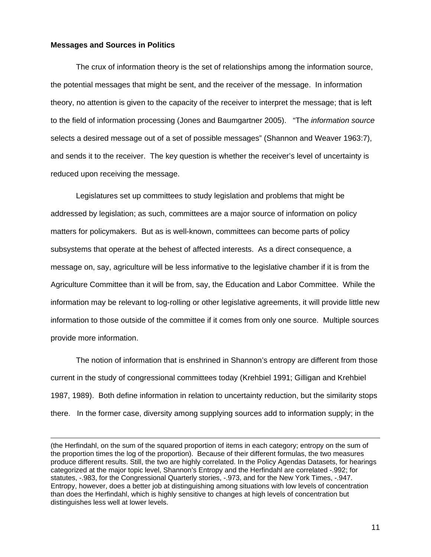#### **Messages and Sources in Politics**

 The crux of information theory is the set of relationships among the information source, the potential messages that might be sent, and the receiver of the message. In information theory, no attention is given to the capacity of the receiver to interpret the message; that is left to the field of information processing (Jones and Baumgartner 2005). "The *information source* selects a desired message out of a set of possible messages" (Shannon and Weaver 1963:7), and sends it to the receiver. The key question is whether the receiver's level of uncertainty is reduced upon receiving the message.

 Legislatures set up committees to study legislation and problems that might be addressed by legislation; as such, committees are a major source of information on policy matters for policymakers. But as is well-known, committees can become parts of policy subsystems that operate at the behest of affected interests. As a direct consequence, a message on, say, agriculture will be less informative to the legislative chamber if it is from the Agriculture Committee than it will be from, say, the Education and Labor Committee. While the information may be relevant to log-rolling or other legislative agreements, it will provide little new information to those outside of the committee if it comes from only one source. Multiple sources provide more information.

 The notion of information that is enshrined in Shannon's entropy are different from those current in the study of congressional committees today (Krehbiel 1991; Gilligan and Krehbiel 1987, 1989). Both define information in relation to uncertainty reduction, but the similarity stops there. In the former case, diversity among supplying sources add to information supply; in the

<sup>(</sup>the Herfindahl, on the sum of the squared proportion of items in each category; entropy on the sum of the proportion times the log of the proportion). Because of their different formulas, the two measures produce different results. Still, the two are highly correlated. In the Policy Agendas Datasets, for hearings categorized at the major topic level, Shannon's Entropy and the Herfindahl are correlated -.992; for statutes, -.983, for the Congressional Quarterly stories, -.973, and for the New York Times, -.947. Entropy, however, does a better job at distinguishing among situations with low levels of concentration than does the Herfindahl, which is highly sensitive to changes at high levels of concentration but distinguishes less well at lower levels.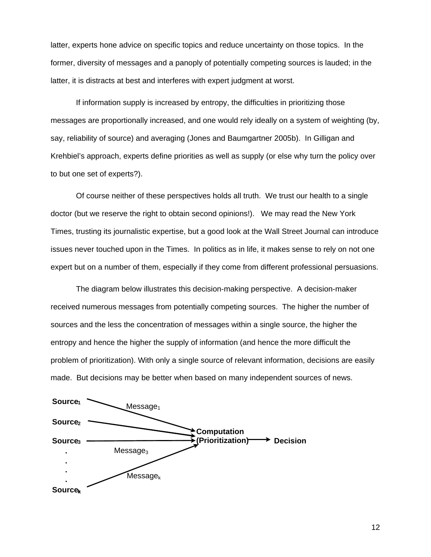latter, experts hone advice on specific topics and reduce uncertainty on those topics. In the former, diversity of messages and a panoply of potentially competing sources is lauded; in the latter, it is distracts at best and interferes with expert judgment at worst.

 If information supply is increased by entropy, the difficulties in prioritizing those messages are proportionally increased, and one would rely ideally on a system of weighting (by, say, reliability of source) and averaging (Jones and Baumgartner 2005b). In Gilligan and Krehbiel's approach, experts define priorities as well as supply (or else why turn the policy over to but one set of experts?).

 Of course neither of these perspectives holds all truth. We trust our health to a single doctor (but we reserve the right to obtain second opinions!). We may read the New York Times, trusting its journalistic expertise, but a good look at the Wall Street Journal can introduce issues never touched upon in the Times. In politics as in life, it makes sense to rely on not one expert but on a number of them, especially if they come from different professional persuasions.

The diagram below illustrates this decision-making perspective. A decision-maker received numerous messages from potentially competing sources. The higher the number of sources and the less the concentration of messages within a single source, the higher the entropy and hence the higher the supply of information (and hence the more difficult the problem of prioritization). With only a single source of relevant information, decisions are easily made. But decisions may be better when based on many independent sources of news.

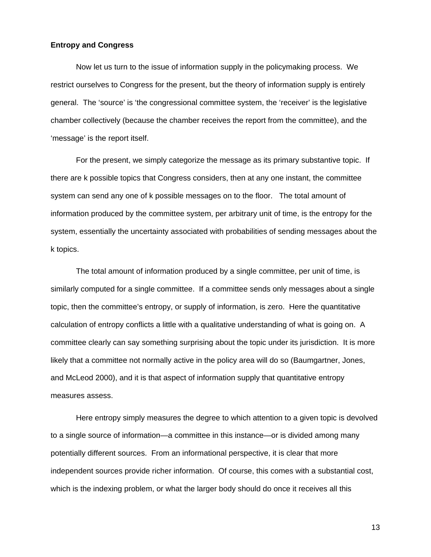## **Entropy and Congress**

 Now let us turn to the issue of information supply in the policymaking process. We restrict ourselves to Congress for the present, but the theory of information supply is entirely general. The 'source' is 'the congressional committee system, the 'receiver' is the legislative chamber collectively (because the chamber receives the report from the committee), and the 'message' is the report itself.

 For the present, we simply categorize the message as its primary substantive topic. If there are k possible topics that Congress considers, then at any one instant, the committee system can send any one of k possible messages on to the floor. The total amount of information produced by the committee system, per arbitrary unit of time, is the entropy for the system, essentially the uncertainty associated with probabilities of sending messages about the k topics.

 The total amount of information produced by a single committee, per unit of time, is similarly computed for a single committee. If a committee sends only messages about a single topic, then the committee's entropy, or supply of information, is zero. Here the quantitative calculation of entropy conflicts a little with a qualitative understanding of what is going on. A committee clearly can say something surprising about the topic under its jurisdiction. It is more likely that a committee not normally active in the policy area will do so (Baumgartner, Jones, and McLeod 2000), and it is that aspect of information supply that quantitative entropy measures assess.

Here entropy simply measures the degree to which attention to a given topic is devolved to a single source of information—a committee in this instance—or is divided among many potentially different sources. From an informational perspective, it is clear that more independent sources provide richer information. Of course, this comes with a substantial cost, which is the indexing problem, or what the larger body should do once it receives all this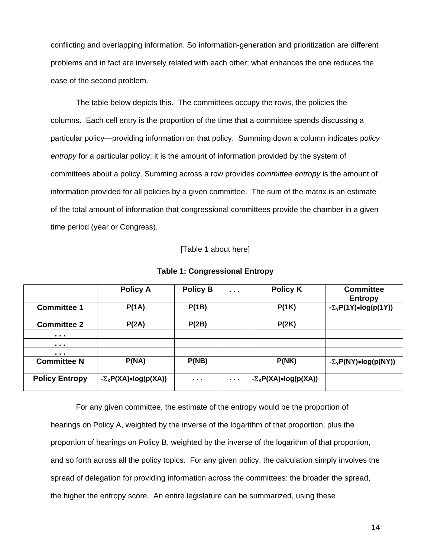conflicting and overlapping information. So information-generation and prioritization are different problems and in fact are inversely related with each other; what enhances the one reduces the ease of the second problem.

 The table below depicts this. The committees occupy the rows, the policies the columns. Each cell entry is the proportion of the time that a committee spends discussing a particular policy—providing information on that policy. Summing down a column indicates p*olicy entropy* for a particular policy; it is the amount of information provided by the system of committees about a policy. Summing across a row provides *committee entropy* is the amount of information provided for all policies by a given committee. The sum of the matrix is an estimate of the total amount of information that congressional committees provide the chamber in a given time period (year or Congress).

[Table 1 about here]

|                                                                                             | <b>Policy A</b>                     | <b>Policy B</b> | $\cdots$         | <b>Policy K</b>                     | <b>Committee</b><br><b>Entropy</b>  |
|---------------------------------------------------------------------------------------------|-------------------------------------|-----------------|------------------|-------------------------------------|-------------------------------------|
| <b>Committee 1</b>                                                                          | P(1A)                               | P(1B)           |                  | P(1K)                               | $-\Sigma_Y P(1Y)$ •log(p(1Y))       |
| <b>Committee 2</b>                                                                          | P(2A)                               | P(2B)           |                  | P(2K)                               |                                     |
| .                                                                                           |                                     |                 |                  |                                     |                                     |
| $\begin{array}{cccccccccccccc} \bullet & \bullet & \bullet & \bullet & \bullet \end{array}$ |                                     |                 |                  |                                     |                                     |
| $\begin{array}{cccccccccccccc} \bullet & \bullet & \bullet & \bullet & \bullet \end{array}$ |                                     |                 |                  |                                     |                                     |
| <b>Committee N</b>                                                                          | P(NA)                               | P(NB)           |                  | P(NK)                               | $-\Sigma_Y P(NY) \cdot \log(p(NY))$ |
| <b>Policy Entropy</b>                                                                       | $-\Sigma_X P(XA) \cdot \log(p(XA))$ | .               | $\sim$ 10 $\sim$ | $-\Sigma_X P(XA) \cdot \log(p(XA))$ |                                     |

**Table 1: Congressional Entropy** 

 For any given committee, the estimate of the entropy would be the proportion of hearings on Policy A, weighted by the inverse of the logarithm of that proportion, plus the proportion of hearings on Policy B, weighted by the inverse of the logarithm of that proportion, and so forth across all the policy topics. For any given policy, the calculation simply involves the spread of delegation for providing information across the committees: the broader the spread, the higher the entropy score. An entire legislature can be summarized, using these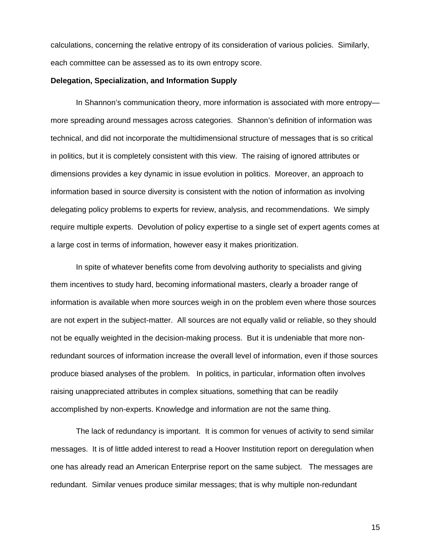calculations, concerning the relative entropy of its consideration of various policies. Similarly, each committee can be assessed as to its own entropy score.

#### **Delegation, Specialization, and Information Supply**

In Shannon's communication theory, more information is associated with more entropy more spreading around messages across categories. Shannon's definition of information was technical, and did not incorporate the multidimensional structure of messages that is so critical in politics, but it is completely consistent with this view. The raising of ignored attributes or dimensions provides a key dynamic in issue evolution in politics. Moreover, an approach to information based in source diversity is consistent with the notion of information as involving delegating policy problems to experts for review, analysis, and recommendations. We simply require multiple experts. Devolution of policy expertise to a single set of expert agents comes at a large cost in terms of information, however easy it makes prioritization.

In spite of whatever benefits come from devolving authority to specialists and giving them incentives to study hard, becoming informational masters, clearly a broader range of information is available when more sources weigh in on the problem even where those sources are not expert in the subject-matter. All sources are not equally valid or reliable, so they should not be equally weighted in the decision-making process. But it is undeniable that more nonredundant sources of information increase the overall level of information, even if those sources produce biased analyses of the problem. In politics, in particular, information often involves raising unappreciated attributes in complex situations, something that can be readily accomplished by non-experts. Knowledge and information are not the same thing.

The lack of redundancy is important. It is common for venues of activity to send similar messages. It is of little added interest to read a Hoover Institution report on deregulation when one has already read an American Enterprise report on the same subject. The messages are redundant. Similar venues produce similar messages; that is why multiple non-redundant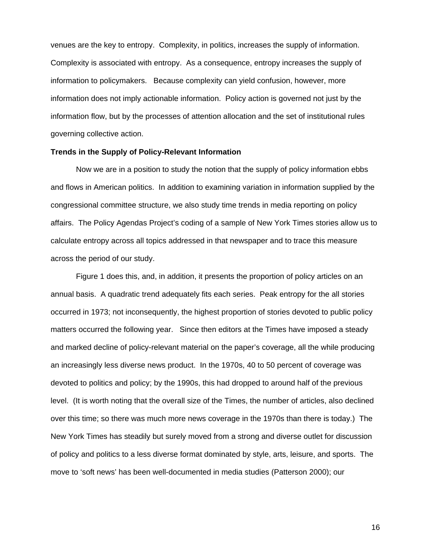venues are the key to entropy. Complexity, in politics, increases the supply of information. Complexity is associated with entropy. As a consequence, entropy increases the supply of information to policymakers. Because complexity can yield confusion, however, more information does not imply actionable information. Policy action is governed not just by the information flow, but by the processes of attention allocation and the set of institutional rules governing collective action.

#### **Trends in the Supply of Policy-Relevant Information**

Now we are in a position to study the notion that the supply of policy information ebbs and flows in American politics. In addition to examining variation in information supplied by the congressional committee structure, we also study time trends in media reporting on policy affairs. The Policy Agendas Project's coding of a sample of New York Times stories allow us to calculate entropy across all topics addressed in that newspaper and to trace this measure across the period of our study.

Figure 1 does this, and, in addition, it presents the proportion of policy articles on an annual basis. A quadratic trend adequately fits each series. Peak entropy for the all stories occurred in 1973; not inconsequently, the highest proportion of stories devoted to public policy matters occurred the following year. Since then editors at the Times have imposed a steady and marked decline of policy-relevant material on the paper's coverage, all the while producing an increasingly less diverse news product. In the 1970s, 40 to 50 percent of coverage was devoted to politics and policy; by the 1990s, this had dropped to around half of the previous level. (It is worth noting that the overall size of the Times, the number of articles, also declined over this time; so there was much more news coverage in the 1970s than there is today.) The New York Times has steadily but surely moved from a strong and diverse outlet for discussion of policy and politics to a less diverse format dominated by style, arts, leisure, and sports. The move to 'soft news' has been well-documented in media studies (Patterson 2000); our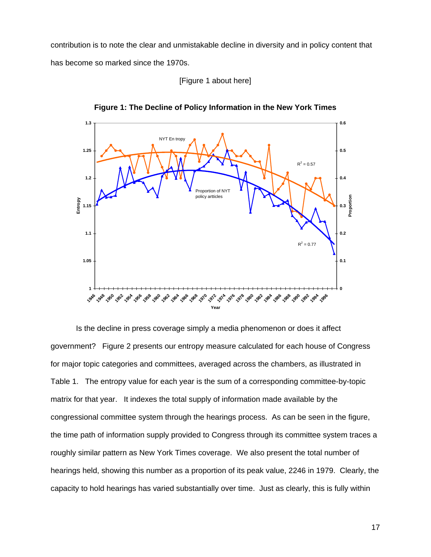contribution is to note the clear and unmistakable decline in diversity and in policy content that has become so marked since the 1970s.





**Figure 1: The Decline of Policy Information in the New York Times** 

 Is the decline in press coverage simply a media phenomenon or does it affect government? Figure 2 presents our entropy measure calculated for each house of Congress for major topic categories and committees, averaged across the chambers, as illustrated in Table 1. The entropy value for each year is the sum of a corresponding committee-by-topic matrix for that year. It indexes the total supply of information made available by the congressional committee system through the hearings process. As can be seen in the figure, the time path of information supply provided to Congress through its committee system traces a roughly similar pattern as New York Times coverage. We also present the total number of hearings held, showing this number as a proportion of its peak value, 2246 in 1979. Clearly, the capacity to hold hearings has varied substantially over time. Just as clearly, this is fully within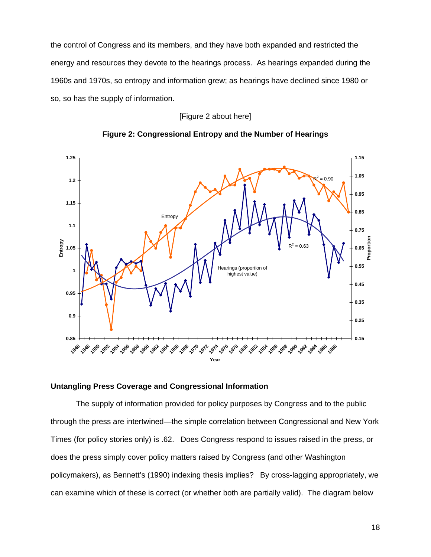the control of Congress and its members, and they have both expanded and restricted the energy and resources they devote to the hearings process. As hearings expanded during the 1960s and 1970s, so entropy and information grew; as hearings have declined since 1980 or so, so has the supply of information.

## [Figure 2 about here]





#### **Untangling Press Coverage and Congressional Information**

The supply of information provided for policy purposes by Congress and to the public through the press are intertwined—the simple correlation between Congressional and New York Times (for policy stories only) is .62. Does Congress respond to issues raised in the press, or does the press simply cover policy matters raised by Congress (and other Washington policymakers), as Bennett's (1990) indexing thesis implies? By cross-lagging appropriately, we can examine which of these is correct (or whether both are partially valid). The diagram below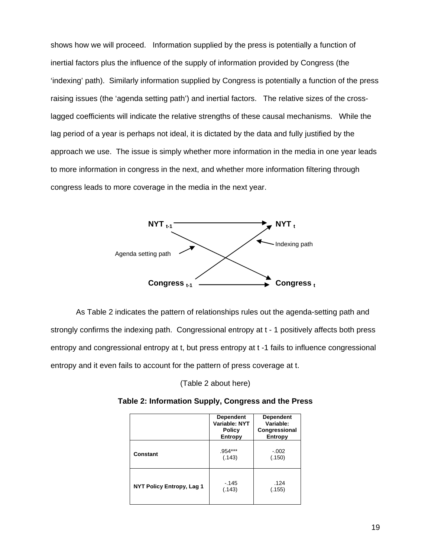shows how we will proceed. Information supplied by the press is potentially a function of inertial factors plus the influence of the supply of information provided by Congress (the 'indexing' path). Similarly information supplied by Congress is potentially a function of the press raising issues (the 'agenda setting path') and inertial factors. The relative sizes of the crosslagged coefficients will indicate the relative strengths of these causal mechanisms. While the lag period of a year is perhaps not ideal, it is dictated by the data and fully justified by the approach we use. The issue is simply whether more information in the media in one year leads to more information in congress in the next, and whether more information filtering through congress leads to more coverage in the media in the next year.



 As Table 2 indicates the pattern of relationships rules out the agenda-setting path and strongly confirms the indexing path. Congressional entropy at t - 1 positively affects both press entropy and congressional entropy at t, but press entropy at t -1 fails to influence congressional entropy and it even fails to account for the pattern of press coverage at t.

(Table 2 about here)

|                                  | <b>Dependent</b><br>Variable: NYT<br><b>Policy</b><br>Entropy | <b>Dependent</b><br>Variable:<br>Congressional<br>Entropy |
|----------------------------------|---------------------------------------------------------------|-----------------------------------------------------------|
| Constant                         | .954***<br>(.143)                                             | $-.002$<br>(.150)                                         |
| <b>NYT Policy Entropy, Lag 1</b> | - 145<br>(.143)                                               | .124<br>(.155)                                            |

**Table 2: Information Supply, Congress and the Press**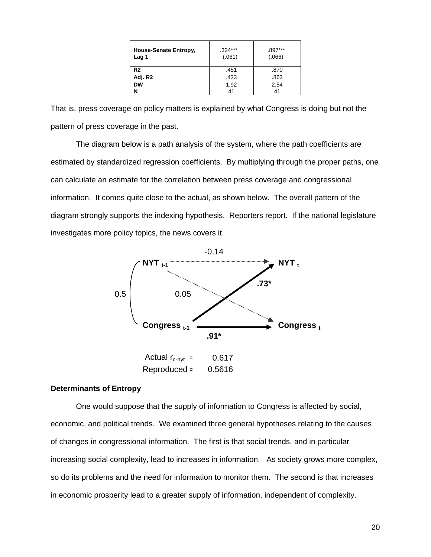| House-Senate Entropy,<br>Lag 1 | $.324***$<br>(.061) | .897***<br>(.066) |
|--------------------------------|---------------------|-------------------|
| R <sub>2</sub>                 | .451                | .870              |
| Adj. R2                        | .423                | .863              |
| <b>DW</b>                      | 1.92                | 2.54              |
| N                              | 41                  | 41                |

That is, press coverage on policy matters is explained by what Congress is doing but not the pattern of press coverage in the past.

The diagram below is a path analysis of the system, where the path coefficients are estimated by standardized regression coefficients. By multiplying through the proper paths, one can calculate an estimate for the correlation between press coverage and congressional information. It comes quite close to the actual, as shown below. The overall pattern of the diagram strongly supports the indexing hypothesis. Reporters report. If the national legislature investigates more policy topics, the news covers it.



#### **Determinants of Entropy**

 One would suppose that the supply of information to Congress is affected by social, economic, and political trends. We examined three general hypotheses relating to the causes of changes in congressional information. The first is that social trends, and in particular increasing social complexity, lead to increases in information. As society grows more complex, so do its problems and the need for information to monitor them. The second is that increases in economic prosperity lead to a greater supply of information, independent of complexity.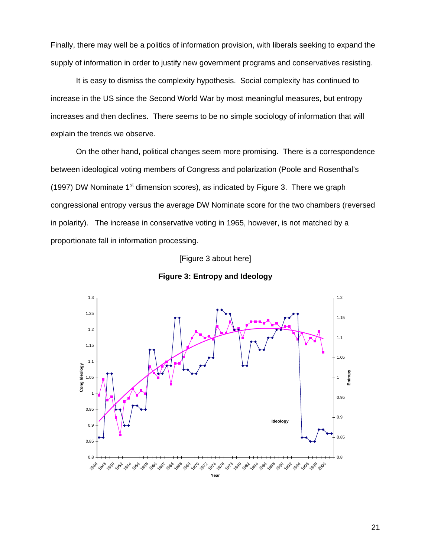Finally, there may well be a politics of information provision, with liberals seeking to expand the supply of information in order to justify new government programs and conservatives resisting.

 It is easy to dismiss the complexity hypothesis. Social complexity has continued to increase in the US since the Second World War by most meaningful measures, but entropy increases and then declines. There seems to be no simple sociology of information that will explain the trends we observe.

On the other hand, political changes seem more promising. There is a correspondence between ideological voting members of Congress and polarization (Poole and Rosenthal's (1997) DW Nominate  $1<sup>st</sup>$  dimension scores), as indicated by Figure 3. There we graph congressional entropy versus the average DW Nominate score for the two chambers (reversed in polarity). The increase in conservative voting in 1965, however, is not matched by a proportionate fall in information processing.

#### [Figure 3 about here]



#### **Figure 3: Entropy and Ideology**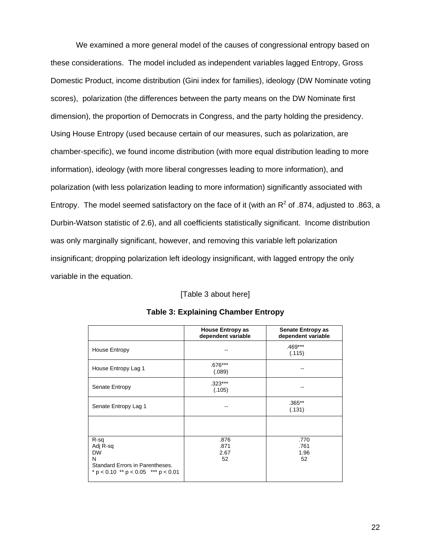We examined a more general model of the causes of congressional entropy based on these considerations. The model included as independent variables lagged Entropy, Gross Domestic Product, income distribution (Gini index for families), ideology (DW Nominate voting scores), polarization (the differences between the party means on the DW Nominate first dimension), the proportion of Democrats in Congress, and the party holding the presidency. Using House Entropy (used because certain of our measures, such as polarization, are chamber-specific), we found income distribution (with more equal distribution leading to more information), ideology (with more liberal congresses leading to more information), and polarization (with less polarization leading to more information) significantly associated with Entropy. The model seemed satisfactory on the face of it (with an  $R^2$  of .874, adjusted to .863, a Durbin-Watson statistic of 2.6), and all coefficients statistically significant. Income distribution was only marginally significant, however, and removing this variable left polarization insignificant; dropping polarization left ideology insignificant, with lagged entropy the only variable in the equation.

## [Table 3 about here]

|                                                                                                                    | <b>House Entropy as</b><br>dependent variable | <b>Senate Entropy as</b><br>dependent variable |
|--------------------------------------------------------------------------------------------------------------------|-----------------------------------------------|------------------------------------------------|
| House Entropy                                                                                                      |                                               | $.469***$<br>(.115)                            |
| House Entropy Lag 1                                                                                                | $.676***$<br>(.089)                           |                                                |
| Senate Entropy                                                                                                     | $.323***$<br>(.105)                           |                                                |
| Senate Entropy Lag 1                                                                                               |                                               | $.365**$<br>(.131)                             |
|                                                                                                                    |                                               |                                                |
| R-sq<br>Adj R-sq<br><b>DW</b><br>N<br>Standard Errors in Parentheses.<br>$* p < 0.10$ ** $p < 0.05$ *** $p < 0.01$ | .876<br>.871<br>2.67<br>52                    | .770<br>.761<br>1.96<br>52                     |

#### **Table 3: Explaining Chamber Entropy**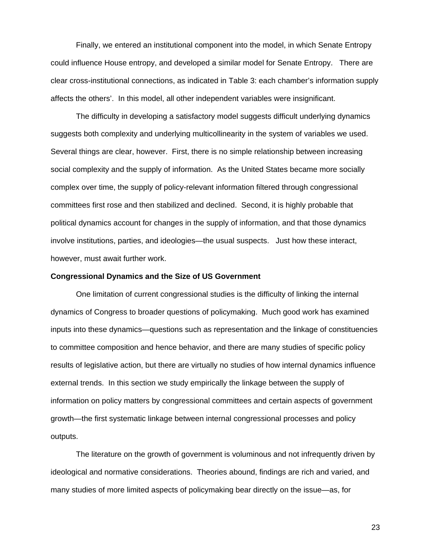Finally, we entered an institutional component into the model, in which Senate Entropy could influence House entropy, and developed a similar model for Senate Entropy. There are clear cross-institutional connections, as indicated in Table 3: each chamber's information supply affects the others'. In this model, all other independent variables were insignificant.

The difficulty in developing a satisfactory model suggests difficult underlying dynamics suggests both complexity and underlying multicollinearity in the system of variables we used. Several things are clear, however. First, there is no simple relationship between increasing social complexity and the supply of information. As the United States became more socially complex over time, the supply of policy-relevant information filtered through congressional committees first rose and then stabilized and declined. Second, it is highly probable that political dynamics account for changes in the supply of information, and that those dynamics involve institutions, parties, and ideologies—the usual suspects. Just how these interact, however, must await further work.

#### **Congressional Dynamics and the Size of US Government**

One limitation of current congressional studies is the difficulty of linking the internal dynamics of Congress to broader questions of policymaking. Much good work has examined inputs into these dynamics—questions such as representation and the linkage of constituencies to committee composition and hence behavior, and there are many studies of specific policy results of legislative action, but there are virtually no studies of how internal dynamics influence external trends. In this section we study empirically the linkage between the supply of information on policy matters by congressional committees and certain aspects of government growth—the first systematic linkage between internal congressional processes and policy outputs.

 The literature on the growth of government is voluminous and not infrequently driven by ideological and normative considerations. Theories abound, findings are rich and varied, and many studies of more limited aspects of policymaking bear directly on the issue—as, for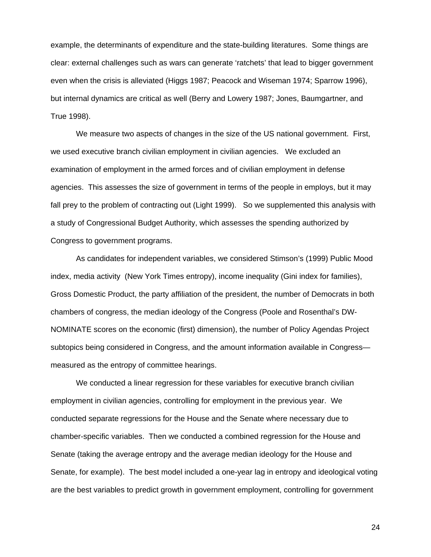example, the determinants of expenditure and the state-building literatures. Some things are clear: external challenges such as wars can generate 'ratchets' that lead to bigger government even when the crisis is alleviated (Higgs 1987; Peacock and Wiseman 1974; Sparrow 1996), but internal dynamics are critical as well (Berry and Lowery 1987; Jones, Baumgartner, and True 1998).

We measure two aspects of changes in the size of the US national government. First, we used executive branch civilian employment in civilian agencies. We excluded an examination of employment in the armed forces and of civilian employment in defense agencies. This assesses the size of government in terms of the people in employs, but it may fall prey to the problem of contracting out (Light 1999). So we supplemented this analysis with a study of Congressional Budget Authority, which assesses the spending authorized by Congress to government programs.

As candidates for independent variables, we considered Stimson's (1999) Public Mood index, media activity (New York Times entropy), income inequality (Gini index for families), Gross Domestic Product, the party affiliation of the president, the number of Democrats in both chambers of congress, the median ideology of the Congress (Poole and Rosenthal's DW-NOMINATE scores on the economic (first) dimension), the number of Policy Agendas Project subtopics being considered in Congress, and the amount information available in Congress measured as the entropy of committee hearings.

We conducted a linear regression for these variables for executive branch civilian employment in civilian agencies, controlling for employment in the previous year. We conducted separate regressions for the House and the Senate where necessary due to chamber-specific variables. Then we conducted a combined regression for the House and Senate (taking the average entropy and the average median ideology for the House and Senate, for example). The best model included a one-year lag in entropy and ideological voting are the best variables to predict growth in government employment, controlling for government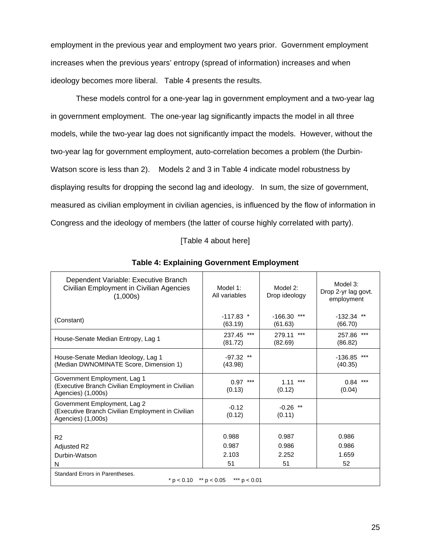employment in the previous year and employment two years prior. Government employment increases when the previous years' entropy (spread of information) increases and when ideology becomes more liberal. Table 4 presents the results.

These models control for a one-year lag in government employment and a two-year lag in government employment. The one-year lag significantly impacts the model in all three models, while the two-year lag does not significantly impact the models. However, without the two-year lag for government employment, auto-correlation becomes a problem (the Durbin-Watson score is less than 2). Models 2 and 3 in Table 4 indicate model robustness by displaying results for dropping the second lag and ideology. In sum, the size of government, measured as civilian employment in civilian agencies, is influenced by the flow of information in Congress and the ideology of members (the latter of course highly correlated with party).

## [Table 4 about here]

| Dependent Variable: Executive Branch<br>Civilian Employment in Civilian Agencies<br>(1,000s)            | Model 1:<br>All variables     | Model $2$ :<br>Drop ideology  | Model 3:<br>Drop 2-yr lag govt.<br>employment |
|---------------------------------------------------------------------------------------------------------|-------------------------------|-------------------------------|-----------------------------------------------|
| (Constant)                                                                                              | $-117.83$ *<br>(63.19)        | $***$<br>$-166.30$<br>(61.63) | $-132.34$ **<br>(66.70)                       |
| House-Senate Median Entropy, Lag 1                                                                      | 237.45 ***<br>(81.72)         | $***$<br>279.11<br>(82.69)    | 257.86 ***<br>(86.82)                         |
| House-Senate Median Ideology, Lag 1<br>(Median DWNOMINATE Score, Dimension 1)                           | $-97.32$ **<br>(43.98)        |                               | $***$<br>$-136.85$<br>(40.35)                 |
| Government Employment, Lag 1<br>(Executive Branch Civilian Employment in Civilian<br>Agencies) (1,000s) | $***$<br>0.97<br>(0.13)       | ***<br>1.11<br>(0.12)         | ***<br>0.84<br>(0.04)                         |
| Government Employment, Lag 2<br>(Executive Branch Civilian Employment in Civilian<br>Agencies) (1,000s) | $-0.12$<br>(0.12)             | $-0.26$ **<br>(0.11)          |                                               |
| R <sub>2</sub><br>Adjusted R2<br>Durbin-Watson<br>N                                                     | 0.988<br>0.987<br>2.103<br>51 | 0.987<br>0.986<br>2.252<br>51 | 0.986<br>0.986<br>1.659<br>52                 |
| Standard Errors in Parentheses.<br>$* p < 0.10$ ** $p < 0.05$<br>*** $p < 0.01$                         |                               |                               |                                               |

## **Table 4: Explaining Government Employment**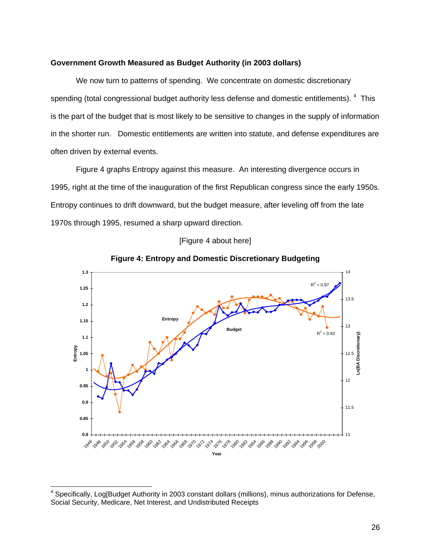#### **Government Growth Measured as Budget Authority (in 2003 dollars)**

We now turn to patterns of spending. We concentrate on domestic discretionary spending (total congressional budget authority less defense and domestic entitlements).  $4$  This is the part of the budget that is most likely to be sensitive to changes in the supply of information in the shorter run. Domestic entitlements are written into statute, and defense expenditures are often driven by external events.

Figure 4 graphs Entropy against this measure. An interesting divergence occurs in 1995, right at the time of the inauguration of the first Republican congress since the early 1950s. Entropy continues to drift downward, but the budget measure, after leveling off from the late 1970s through 1995, resumed a sharp upward direction.





**Figure 4: Entropy and Domestic Discretionary Budgeting** 

<sup>&</sup>lt;sup>4</sup> Specifically, Log[Budget Authority in 2003 constant dollars (millions), minus authorizations for Defense, Social Security, Medicare, Net Interest, and Undistributed Receipts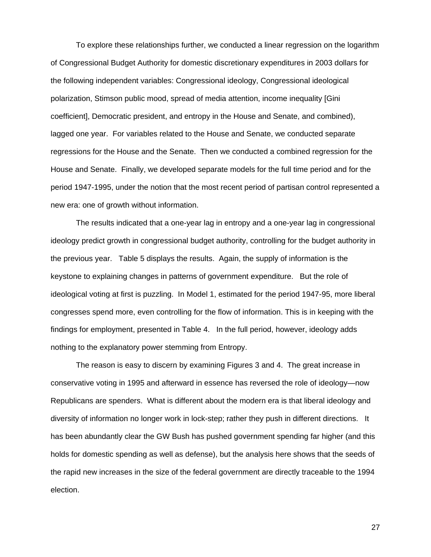To explore these relationships further, we conducted a linear regression on the logarithm of Congressional Budget Authority for domestic discretionary expenditures in 2003 dollars for the following independent variables: Congressional ideology, Congressional ideological polarization, Stimson public mood, spread of media attention, income inequality [Gini coefficient], Democratic president, and entropy in the House and Senate, and combined), lagged one year. For variables related to the House and Senate, we conducted separate regressions for the House and the Senate. Then we conducted a combined regression for the House and Senate. Finally, we developed separate models for the full time period and for the period 1947-1995, under the notion that the most recent period of partisan control represented a new era: one of growth without information.

The results indicated that a one-year lag in entropy and a one-year lag in congressional ideology predict growth in congressional budget authority, controlling for the budget authority in the previous year. Table 5 displays the results. Again, the supply of information is the keystone to explaining changes in patterns of government expenditure. But the role of ideological voting at first is puzzling. In Model 1, estimated for the period 1947-95, more liberal congresses spend more, even controlling for the flow of information. This is in keeping with the findings for employment, presented in Table 4. In the full period, however, ideology adds nothing to the explanatory power stemming from Entropy.

The reason is easy to discern by examining Figures 3 and 4. The great increase in conservative voting in 1995 and afterward in essence has reversed the role of ideology—now Republicans are spenders. What is different about the modern era is that liberal ideology and diversity of information no longer work in lock-step; rather they push in different directions. It has been abundantly clear the GW Bush has pushed government spending far higher (and this holds for domestic spending as well as defense), but the analysis here shows that the seeds of the rapid new increases in the size of the federal government are directly traceable to the 1994 election.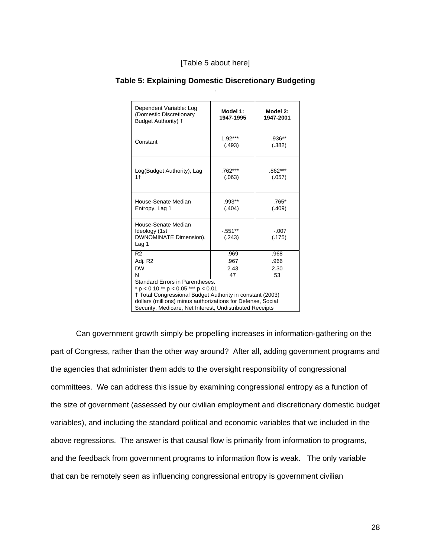| Dependent Variable: Log<br>(Domestic Discretionary<br>Budget Authority) +                                                                                                                                                                                      | Model 1:<br>1947-1995      | Model 2:<br>1947-2001      |  |
|----------------------------------------------------------------------------------------------------------------------------------------------------------------------------------------------------------------------------------------------------------------|----------------------------|----------------------------|--|
| Constant                                                                                                                                                                                                                                                       | $1.92***$<br>(.493)        | .936**<br>(.382)           |  |
| Log(Budget Authority), Lag<br>1 <sup>†</sup>                                                                                                                                                                                                                   | $.762***$<br>(.063)        | .862***<br>(.057)          |  |
| House-Senate Median<br>Entropy, Lag 1                                                                                                                                                                                                                          | $.993**$<br>(.404)         | .765*<br>(.409)            |  |
| House-Senate Median<br>Ideology (1st<br>DWNOMINATE Dimension),<br>Lag 1                                                                                                                                                                                        | $-0.551**$<br>(.243)       | $-.007$<br>(.175)          |  |
| R <sub>2</sub><br>Adj. R2<br><b>DW</b><br>N                                                                                                                                                                                                                    | .969<br>.967<br>2.43<br>47 | .968<br>.966<br>2.30<br>53 |  |
| Standard Errors in Parentheses.<br>$* p < 0.10** p < 0.05*** p < 0.01$<br>† Total Congressional Budget Authority in constant (2003)<br>dollars (millions) minus authorizations for Defense, Social<br>Security, Medicare, Net Interest, Undistributed Receipts |                            |                            |  |

#### **Table 5: Explaining Domestic Discretionary Budgeting**  .

Can government growth simply be propelling increases in information-gathering on the part of Congress, rather than the other way around? After all, adding government programs and the agencies that administer them adds to the oversight responsibility of congressional committees. We can address this issue by examining congressional entropy as a function of the size of government (assessed by our civilian employment and discretionary domestic budget variables), and including the standard political and economic variables that we included in the above regressions. The answer is that causal flow is primarily from information to programs, and the feedback from government programs to information flow is weak. The only variable that can be remotely seen as influencing congressional entropy is government civilian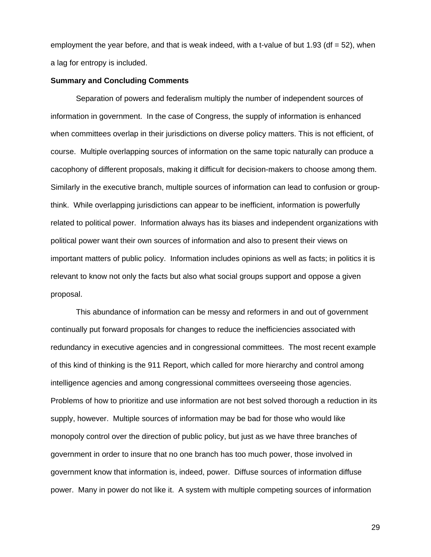employment the year before, and that is weak indeed, with a t-value of but 1.93 (df  $= 52$ ), when a lag for entropy is included.

#### **Summary and Concluding Comments**

Separation of powers and federalism multiply the number of independent sources of information in government. In the case of Congress, the supply of information is enhanced when committees overlap in their jurisdictions on diverse policy matters. This is not efficient, of course. Multiple overlapping sources of information on the same topic naturally can produce a cacophony of different proposals, making it difficult for decision-makers to choose among them. Similarly in the executive branch, multiple sources of information can lead to confusion or groupthink. While overlapping jurisdictions can appear to be inefficient, information is powerfully related to political power. Information always has its biases and independent organizations with political power want their own sources of information and also to present their views on important matters of public policy. Information includes opinions as well as facts; in politics it is relevant to know not only the facts but also what social groups support and oppose a given proposal.

This abundance of information can be messy and reformers in and out of government continually put forward proposals for changes to reduce the inefficiencies associated with redundancy in executive agencies and in congressional committees. The most recent example of this kind of thinking is the 911 Report, which called for more hierarchy and control among intelligence agencies and among congressional committees overseeing those agencies. Problems of how to prioritize and use information are not best solved thorough a reduction in its supply, however. Multiple sources of information may be bad for those who would like monopoly control over the direction of public policy, but just as we have three branches of government in order to insure that no one branch has too much power, those involved in government know that information is, indeed, power. Diffuse sources of information diffuse power. Many in power do not like it. A system with multiple competing sources of information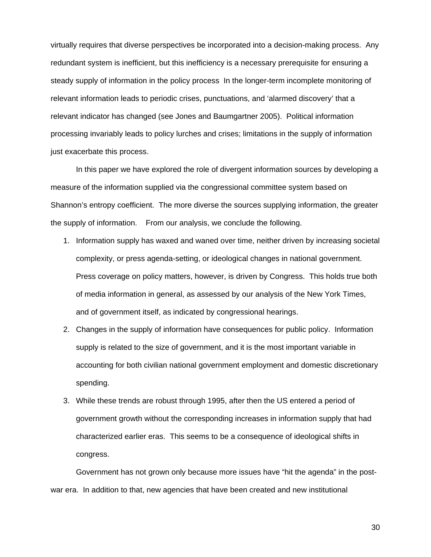virtually requires that diverse perspectives be incorporated into a decision-making process. Any redundant system is inefficient, but this inefficiency is a necessary prerequisite for ensuring a steady supply of information in the policy process In the longer-term incomplete monitoring of relevant information leads to periodic crises, punctuations, and 'alarmed discovery' that a relevant indicator has changed (see Jones and Baumgartner 2005). Political information processing invariably leads to policy lurches and crises; limitations in the supply of information just exacerbate this process.

 In this paper we have explored the role of divergent information sources by developing a measure of the information supplied via the congressional committee system based on Shannon's entropy coefficient. The more diverse the sources supplying information, the greater the supply of information. From our analysis, we conclude the following.

- 1. Information supply has waxed and waned over time, neither driven by increasing societal complexity, or press agenda-setting, or ideological changes in national government. Press coverage on policy matters, however, is driven by Congress. This holds true both of media information in general, as assessed by our analysis of the New York Times, and of government itself, as indicated by congressional hearings.
- 2. Changes in the supply of information have consequences for public policy. Information supply is related to the size of government, and it is the most important variable in accounting for both civilian national government employment and domestic discretionary spending.
- 3. While these trends are robust through 1995, after then the US entered a period of government growth without the corresponding increases in information supply that had characterized earlier eras. This seems to be a consequence of ideological shifts in congress.

Government has not grown only because more issues have "hit the agenda" in the postwar era. In addition to that, new agencies that have been created and new institutional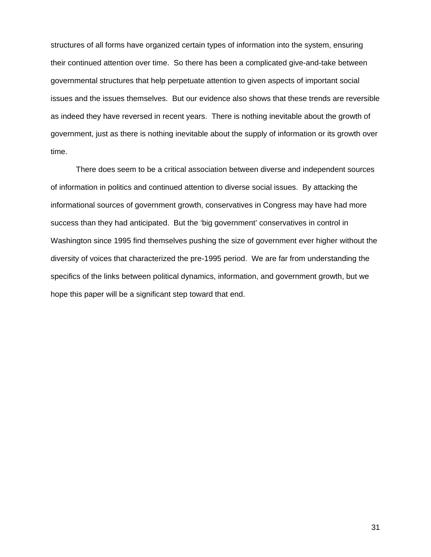structures of all forms have organized certain types of information into the system, ensuring their continued attention over time. So there has been a complicated give-and-take between governmental structures that help perpetuate attention to given aspects of important social issues and the issues themselves. But our evidence also shows that these trends are reversible as indeed they have reversed in recent years. There is nothing inevitable about the growth of government, just as there is nothing inevitable about the supply of information or its growth over time.

There does seem to be a critical association between diverse and independent sources of information in politics and continued attention to diverse social issues. By attacking the informational sources of government growth, conservatives in Congress may have had more success than they had anticipated. But the 'big government' conservatives in control in Washington since 1995 find themselves pushing the size of government ever higher without the diversity of voices that characterized the pre-1995 period. We are far from understanding the specifics of the links between political dynamics, information, and government growth, but we hope this paper will be a significant step toward that end.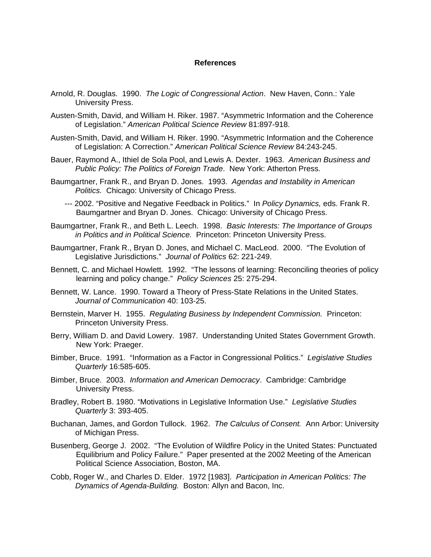#### **References**

- Arnold, R. Douglas. 1990. *The Logic of Congressional Action*. New Haven, Conn.: Yale University Press.
- Austen-Smith, David, and William H. Riker. 1987. "Asymmetric Information and the Coherence of Legislation." *American Political Science Review* 81:897-918.
- Austen-Smith, David, and William H. Riker. 1990. "Asymmetric Information and the Coherence of Legislation: A Correction." *American Political Science Review* 84:243-245.
- Bauer, Raymond A., Ithiel de Sola Pool, and Lewis A. Dexter. 1963. *American Business and Public Policy: The Politics of Foreign Trade*. New York: Atherton Press.
- Baumgartner, Frank R., and Bryan D. Jones. 1993. *Agendas and Instability in American Politics.* Chicago: University of Chicago Press.
	- --- 2002. "Positive and Negative Feedback in Politics." In *Policy Dynamics,* eds. Frank R. Baumgartner and Bryan D. Jones. Chicago: University of Chicago Press.
- Baumgartner, Frank R., and Beth L. Leech. 1998. *Basic Interests: The Importance of Groups in Politics and in Political Science.* Princeton: Princeton University Press.
- Baumgartner, Frank R., Bryan D. Jones, and Michael C. MacLeod. 2000. "The Evolution of Legislative Jurisdictions." *Journal of Politics* 62: 221-249.
- Bennett, C. and Michael Howlett. 1992. "The lessons of learning: Reconciling theories of policy learning and policy change." *Policy Sciences* 25: 275-294.
- Bennett, W. Lance. 1990. Toward a Theory of Press-State Relations in the United States. *Journal of Communication* 40: 103-25.
- Bernstein, Marver H. 1955. *Regulating Business by Independent Commission.* Princeton: Princeton University Press.
- Berry, William D. and David Lowery. 1987. Understanding United States Government Growth. New York: Praeger.
- Bimber, Bruce. 1991. "Information as a Factor in Congressional Politics." *Legislative Studies Quarterly* 16:585-605.
- Bimber, Bruce. 2003. *Information and American Democracy*. Cambridge: Cambridge University Press.
- Bradley, Robert B. 1980. "Motivations in Legislative Information Use." *Legislative Studies Quarterly* 3: 393-405.
- Buchanan, James, and Gordon Tullock. 1962. *The Calculus of Consent.* Ann Arbor: University of Michigan Press.
- Busenberg, George J. 2002. "The Evolution of Wildfire Policy in the United States: Punctuated Equilibrium and Policy Failure." Paper presented at the 2002 Meeting of the American Political Science Association, Boston, MA.
- Cobb, Roger W., and Charles D. Elder. 1972 [1983]. *Participation in American Politics: The Dynamics of Agenda-Building.* Boston: Allyn and Bacon, Inc.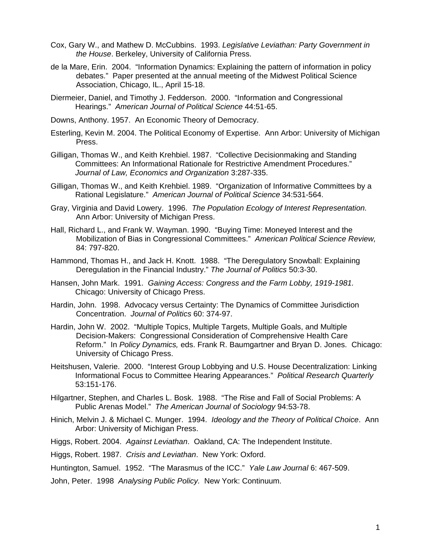- Cox, Gary W., and Mathew D. McCubbins. 1993. *Legislative Leviathan: Party Government in the House*. Berkeley, University of California Press.
- de la Mare, Erin. 2004. "Information Dynamics: Explaining the pattern of information in policy debates." Paper presented at the annual meeting of the Midwest Political Science Association, Chicago, IL., April 15-18.
- Diermeier, Daniel, and Timothy J. Fedderson. 2000. "Information and Congressional Hearings." *American Journal of Political Science* 44:51-65.
- Downs, Anthony. 1957. An Economic Theory of Democracy.
- Esterling, Kevin M. 2004. The Political Economy of Expertise. Ann Arbor: University of Michigan Press.
- Gilligan, Thomas W., and Keith Krehbiel. 1987. "Collective Decisionmaking and Standing Committees: An Informational Rationale for Restrictive Amendment Procedures." *Journal of Law, Economics and Organization* 3:287-335.
- Gilligan, Thomas W., and Keith Krehbiel. 1989. "Organization of Informative Committees by a Rational Legislature." *American Journal of Political Science* 34:531-564.
- Gray, Virginia and David Lowery. 1996. *The Population Ecology of Interest Representation.* Ann Arbor: University of Michigan Press.
- Hall, Richard L., and Frank W. Wayman. 1990. "Buying Time: Moneyed Interest and the Mobilization of Bias in Congressional Committees." *American Political Science Review,* 84: 797-820.
- Hammond, Thomas H., and Jack H. Knott. 1988. "The Deregulatory Snowball: Explaining Deregulation in the Financial Industry." *The Journal of Politics* 50:3-30.
- Hansen, John Mark. 1991. *Gaining Access: Congress and the Farm Lobby, 1919-1981.* Chicago: University of Chicago Press.
- Hardin, John. 1998. Advocacy versus Certainty: The Dynamics of Committee Jurisdiction Concentration. *Journal of Politics* 60: 374-97.
- Hardin, John W. 2002. "Multiple Topics, Multiple Targets, Multiple Goals, and Multiple Decision-Makers: Congressional Consideration of Comprehensive Health Care Reform." In *Policy Dynamics,* eds. Frank R. Baumgartner and Bryan D. Jones. Chicago: University of Chicago Press.
- Heitshusen, Valerie. 2000. "Interest Group Lobbying and U.S. House Decentralization: Linking Informational Focus to Committee Hearing Appearances." *Political Research Quarterly* 53:151-176.
- Hilgartner, Stephen, and Charles L. Bosk. 1988. "The Rise and Fall of Social Problems: A Public Arenas Model." *The American Journal of Sociology* 94:53-78.
- Hinich, Melvin J. & Michael C. Munger. 1994. *Ideology and the Theory of Political Choice*. Ann Arbor: University of Michigan Press.
- Higgs, Robert. 2004. *Against Leviathan*. Oakland, CA: The Independent Institute.
- Higgs, Robert. 1987. *Crisis and Leviathan*. New York: Oxford.

Huntington, Samuel. 1952. "The Marasmus of the ICC." *Yale Law Journal* 6: 467-509.

John, Peter. 1998 *Analysing Public Policy.* New York: Continuum.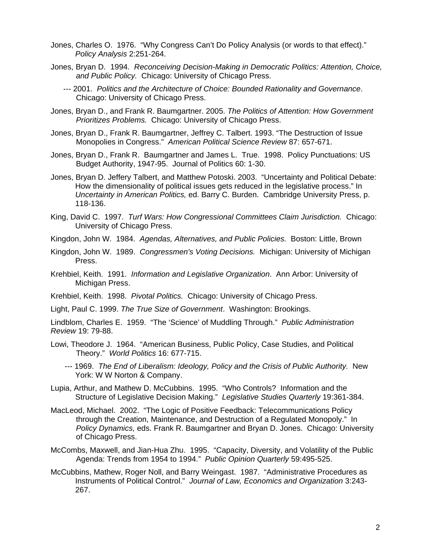- Jones, Charles O. 1976. "Why Congress Can't Do Policy Analysis (or words to that effect)." *Policy Analysis* 2:251-264.
- Jones, Bryan D. 1994. *Reconceiving Decision-Making in Democratic Politics: Attention, Choice, and Public Policy.* Chicago: University of Chicago Press.
	- --- 2001. *Politics and the Architecture of Choice: Bounded Rationality and Governance*. Chicago: University of Chicago Press.
- Jones, Bryan D., and Frank R. Baumgartner. 2005. *The Politics of Attention: How Government Prioritizes Problems.* Chicago: University of Chicago Press.
- Jones, Bryan D., Frank R. Baumgartner, Jeffrey C. Talbert. 1993. "The Destruction of Issue Monopolies in Congress." *American Political Science Review* 87: 657-671.
- Jones, Bryan D., Frank R. Baumgartner and James L. True. 1998. Policy Punctuations: US Budget Authority, 1947-95. Journal of Politics 60: 1-30.
- Jones, Bryan D. Jeffery Talbert, and Matthew Potoski. 2003. "Uncertainty and Political Debate: How the dimensionality of political issues gets reduced in the legislative process." In *Uncertainty in American Politics,* ed. Barry C. Burden. Cambridge University Press, p. 118-136.
- King, David C. 1997. *Turf Wars: How Congressional Committees Claim Jurisdiction.* Chicago: University of Chicago Press.
- Kingdon, John W. 1984. *Agendas, Alternatives, and Public Policies.* Boston: Little, Brown
- Kingdon, John W. 1989. *Congressmen's Voting Decisions.* Michigan: University of Michigan Press.
- Krehbiel, Keith. 1991. *Information and Legislative Organization*. Ann Arbor: University of Michigan Press.
- Krehbiel, Keith. 1998. *Pivotal Politics.* Chicago: University of Chicago Press.
- Light, Paul C. 1999. *The True Size of Government*. Washington: Brookings.

Lindblom, Charles E. 1959. "The 'Science' of Muddling Through." *Public Administration Review* 19: 79-88.

- Lowi, Theodore J. 1964. "American Business, Public Policy, Case Studies, and Political Theory." *World Politics* 16: 677-715.
	- --- 1969. *The End of Liberalism: Ideology, Policy and the Crisis of Public Authority.* New York: W W Norton & Company.
- Lupia, Arthur, and Mathew D. McCubbins. 1995. "Who Controls? Information and the Structure of Legislative Decision Making." *Legislative Studies Quarterly* 19:361-384.
- MacLeod, Michael. 2002. "The Logic of Positive Feedback: Telecommunications Policy through the Creation, Maintenance, and Destruction of a Regulated Monopoly." In *Policy Dynamics,* eds. Frank R. Baumgartner and Bryan D. Jones. Chicago: University of Chicago Press.
- McCombs, Maxwell, and Jian-Hua Zhu. 1995. "Capacity, Diversity, and Volatility of the Public Agenda: Trends from 1954 to 1994." *Public Opinion Quarterly* 59:495-525.
- McCubbins, Mathew, Roger Noll, and Barry Weingast. 1987. "Administrative Procedures as Instruments of Political Control." *Journal of Law, Economics and Organization* 3:243- 267.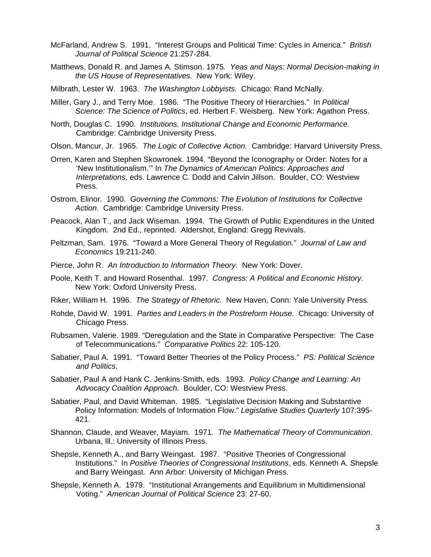- McFarland, Andrew S. 1991. "Interest Groups and Political Time: Cycles in America." *British Journal of Political Science* 21:257-284.
- Matthews, Donald R. and James A. Stimson. 1975*. Yeas and Nays: Normal Decision-making in the US House of Representatives.* New York: Wiley.
- Milbrath, Lester W. 1963. *The Washington Lobbyists.* Chicago: Rand McNally.
- Miller, Gary J., and Terry Moe. 1986. "The Positive Theory of Hierarchies." In *Political Science: The Science of Politics*, ed. Herbert F. Weisberg. New York: Agathon Press.
- North, Douglas C. 1990. *Institutions, Institutional Change and Economic Performance.* Cambridge: Cambridge University Press.
- Olson, Mancur, Jr. 1965. *The Logic of Collective Action*. Cambridge: Harvard University Press.
- Orren, Karen and Stephen Skowronek. 1994. "Beyond the Iconography or Order: Notes for a 'New Institutionalism.'" In *The Dynamics of American Politics: Approaches and Interpretations,* eds. Lawrence C. Dodd and Calvin Jillson. Boulder, CO: Westview Press.
- Ostrom, Elinor. 1990*. Governing the Commons: The Evolution of Institutions for Collective Action.* Cambridge: Cambridge University Press.
- Peacock, Alan T., and Jack Wiseman. 1994. The Growth of Public Expenditures in the United Kingdom. 2nd Ed., reprinted. Aldershot, England: Gregg Revivals.
- Peltzman, Sam. 1976. "Toward a More General Theory of Regulation." *Journal of Law and Economics* 19:211-240.
- Pierce, John R. *An Introduction to Information Theory*. New York: Dover.
- Poole, Keith T. and Howard Rosenthal. 1997. *Congress: A Political and Economic History.* New York: Oxford University Press.
- Riker, William H. 1996. *The Strategy of Rhetoric.* New Haven, Conn: Yale University Press.
- Rohde, David W. 1991. *Parties and Leaders in the Postreform House*. Chicago: University of Chicago Press.
- Rubsamen, Valerie. 1989. "Deregulation and the State in Comparative Perspective: The Case of Telecommunications." *Comparative Politics* 22: 105-120.
- Sabatier, Paul A. 1991. "Toward Better Theories of the Policy Process." *PS: Political Science and Politics*.
- Sabatier, Paul A and Hank C. Jenkins-Smith, eds. 1993. *Policy Change and Learning: An Advocacy Coalition Approach.* Boulder, CO: Westview Press.
- Sabatier, Paul, and David Whiteman. 1985. "Legislative Decision Making and Substantive Policy Information: Models of Information Flow." *Legislative Studies Quarterly* 107:395- 421.
- Shannon, Claude, and Weaver, Mayiam. 1971. *The Mathematical Theory of Communication*. Urbana, Ill.: University of Illinois Press.
- Shepsle, Kenneth A., and Barry Weingast. 1987. "Positive Theories of Congressional Institutions." In *Positive Theories of Congressional Institutions*, eds. Kenneth A. Shepsle and Barry Weingast. Ann Arbor: University of Michigan Press.
- Shepsle, Kenneth A. 1979. "Institutional Arrangements and Equilibrium in Multidimensional Voting." *American Journal of Political Science* 23: 27-60.